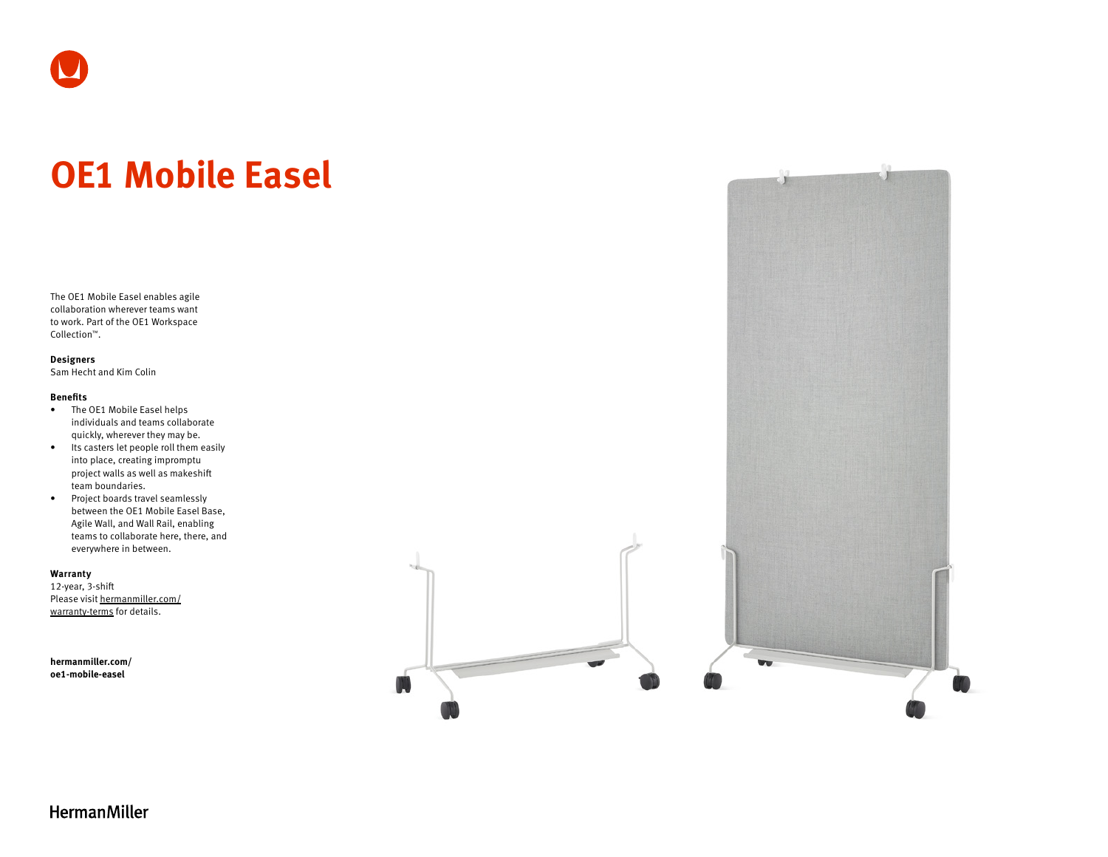# **OE1 Mobile Easel**

The OE1 Mobile Easel enables agile collaboration wherever teams want to work. Part of the OE1 Workspace Collection™.

#### **Designers**

Sam Hecht and Kim Colin

### **Benefits**

- The OE1 Mobile Easel helps individuals and teams collaborate quickly, wherever they may be.
- Its casters let people roll them easily into place, creating impromptu project walls as well as makeshift team boundaries.
- Project boards travel seamlessly between the OE1 Mobile Easel Base, Agile Wall, and Wall Rail, enabling teams to collaborate here, there, and everywhere in between.

#### **Warranty**

12-year, 3-shift Please visit [hermanmiller.com/](https://hermanmiller.com/warranty-terms) [warranty-terms](https://hermanmiller.com/warranty-terms) for details.

**[hermanmiller.com/](https://hermanmiller.com/oe1-mobile-easel) [oe1-m](https://hermanmiller.com/oe1-mobile-easel)obile-easel**